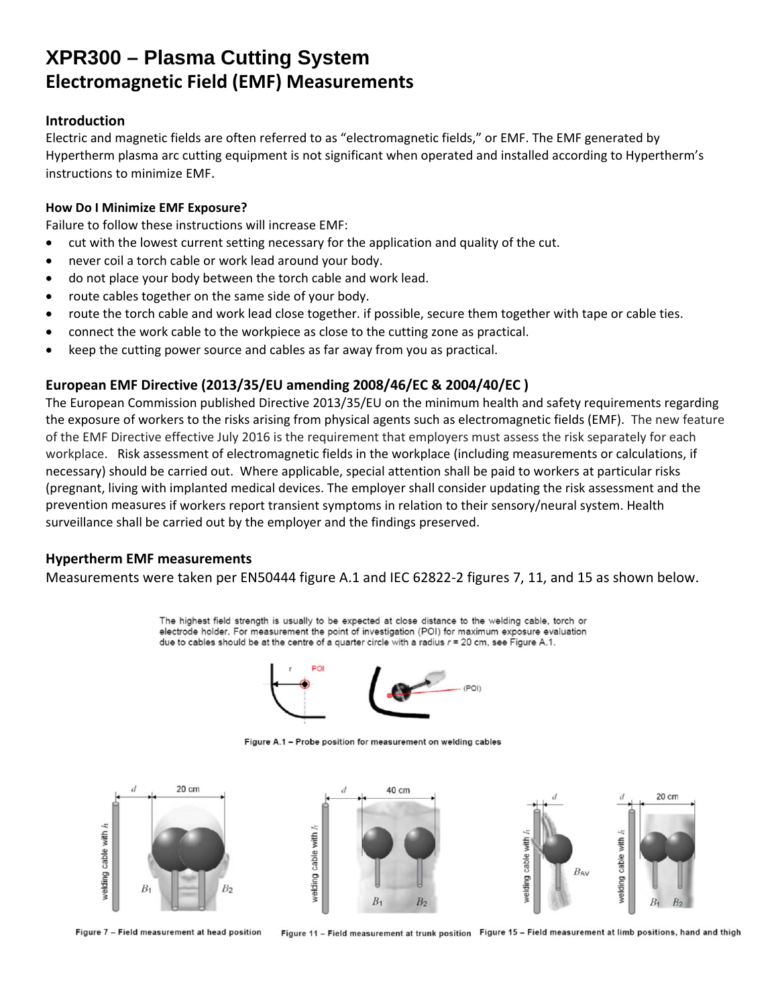## **XPR300 – Plasma Cutting System Electromagnetic Field (EMF) Measurements**

### **Introduction**

Electric and magnetic fields are often referred to as "electromagnetic fields," or EMF. The EMF generated by Hypertherm plasma arc cutting equipment is not significant when operated and installed according to Hypertherm's instructions to minimize EMF.

### **How Do I Minimize EMF Exposure?**

Failure to follow these instructions will increase EMF:

- cut with the lowest current setting necessary for the application and quality of the cut.
- never coil a torch cable or work lead around your body.
- do not place your body between the torch cable and work lead.
- route cables together on the same side of your body.
- route the torch cable and work lead close together. if possible, secure them together with tape or cable ties.
- connect the work cable to the workpiece as close to the cutting zone as practical.
- keep the cutting power source and cables as far away from you as practical.

## **European EMF Directive (2013/35/EU amending 2008/46/EC & 2004/40/EC )**

The European Commission published Directive 2013/35/EU on the minimum health and safety requirements regarding the exposure of workers to the risks arising from physical agents such as electromagnetic fields (EMF). The new feature of the EMF Directive effective July 2016 is the requirement that employers must assess the risk separately for each workplace. Risk assessment of electromagnetic fields in the workplace (including measurements or calculations, if necessary) should be carried out. Where applicable, special attention shall be paid to workers at particular risks (pregnant, living with implanted medical devices. The employer shall consider updating the risk assessment and the prevention measures if workers report transient symptoms in relation to their sensory/neural system. Health surveillance shall be carried out by the employer and the findings preserved.

### **Hypertherm EMF measurements**

Measurements were taken per EN50444 figure A.1 and IEC 62822‐2 figures 7, 11, and 15 as shown below.

The highest field strength is usually to be expected at close distance to the welding cable, torch or electrode holder. For measurement the point of investigation (POI) for maximum exposure evaluation due to cables should be at the centre of a quarter circle with a radius  $r = 20$  cm, see Figure A.1.



Figure A.1 - Probe position for measurement on welding cables



Figure 7 - Field measurement at head position

Figure 11 - Field measurement at trunk position Figure 15 - Field measurement at limb positions, hand and thigh